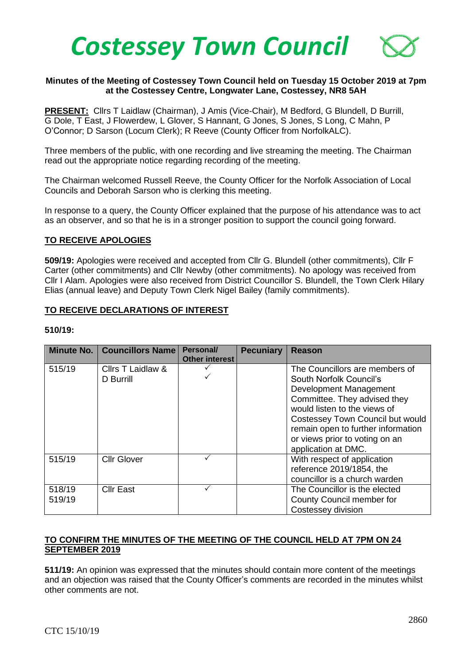

## **Minutes of the Meeting of Costessey Town Council held on Tuesday 15 October 2019 at 7pm at the Costessey Centre, Longwater Lane, Costessey, NR8 5AH**

**PRESENT:** Cllrs T Laidlaw (Chairman), J Amis (Vice-Chair), M Bedford, G Blundell, D Burrill, G Dole, T East, J Flowerdew, L Glover, S Hannant, G Jones, S Jones, S Long, C Mahn, P O'Connor; D Sarson (Locum Clerk); R Reeve (County Officer from NorfolkALC).

Three members of the public, with one recording and live streaming the meeting. The Chairman read out the appropriate notice regarding recording of the meeting.

The Chairman welcomed Russell Reeve, the County Officer for the Norfolk Association of Local Councils and Deborah Sarson who is clerking this meeting.

In response to a query, the County Officer explained that the purpose of his attendance was to act as an observer, and so that he is in a stronger position to support the council going forward.

#### **TO RECEIVE APOLOGIES**

**509/19:** Apologies were received and accepted from Cllr G. Blundell (other commitments), Cllr F Carter (other commitments) and Cllr Newby (other commitments). No apology was received from Cllr I Alam. Apologies were also received from District Councillor S. Blundell, the Town Clerk Hilary Elias (annual leave) and Deputy Town Clerk Nigel Bailey (family commitments).

#### **TO RECEIVE DECLARATIONS OF INTEREST**

#### **510/19:**

|                  | Minute No.   Councillors Name  | Personal/<br><b>Other interest</b> | <b>Pecuniary</b> | <b>Reason</b>                                                                                                                                                                                                                                                                          |
|------------------|--------------------------------|------------------------------------|------------------|----------------------------------------------------------------------------------------------------------------------------------------------------------------------------------------------------------------------------------------------------------------------------------------|
| 515/19           | Cllrs T Laidlaw &<br>D Burrill |                                    |                  | The Councillors are members of<br>South Norfolk Council's<br>Development Management<br>Committee. They advised they<br>would listen to the views of<br>Costessey Town Council but would<br>remain open to further information<br>or views prior to voting on an<br>application at DMC. |
| 515/19           | <b>Cllr Glover</b>             |                                    |                  | With respect of application<br>reference 2019/1854, the<br>councillor is a church warden                                                                                                                                                                                               |
| 518/19<br>519/19 | <b>Cllr East</b>               |                                    |                  | The Councillor is the elected<br>County Council member for<br>Costessey division                                                                                                                                                                                                       |

## **TO CONFIRM THE MINUTES OF THE MEETING OF THE COUNCIL HELD AT 7PM ON 24 SEPTEMBER 2019**

**511/19:** An opinion was expressed that the minutes should contain more content of the meetings and an objection was raised that the County Officer's comments are recorded in the minutes whilst other comments are not.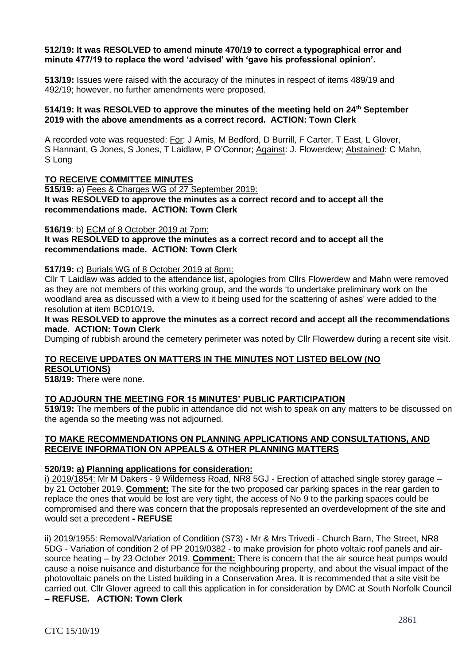#### **512/19: It was RESOLVED to amend minute 470/19 to correct a typographical error and minute 477/19 to replace the word 'advised' with 'gave his professional opinion'.**

**513/19:** Issues were raised with the accuracy of the minutes in respect of items 489/19 and 492/19; however, no further amendments were proposed.

#### **514/19: It was RESOLVED to approve the minutes of the meeting held on 24th September 2019 with the above amendments as a correct record. ACTION: Town Clerk**

A recorded vote was requested: For: J Amis, M Bedford, D Burrill, F Carter, T East, L Glover, S Hannant, G Jones, S Jones, T Laidlaw, P O'Connor; Against: J. Flowerdew; Abstained: C Mahn, S Long

## **TO RECEIVE COMMITTEE MINUTES**

**515/19:** a) Fees & Charges WG of 27 September 2019: **It was RESOLVED to approve the minutes as a correct record and to accept all the recommendations made. ACTION: Town Clerk**

#### **516/19**: b) ECM of 8 October 2019 at 7pm:

**It was RESOLVED to approve the minutes as a correct record and to accept all the recommendations made. ACTION: Town Clerk**

#### **517/19:** c) Burials WG of 8 October 2019 at 8pm:

Cllr T Laidlaw was added to the attendance list, apologies from Cllrs Flowerdew and Mahn were removed as they are not members of this working group, and the words 'to undertake preliminary work on the woodland area as discussed with a view to it being used for the scattering of ashes' were added to the resolution at item BC010/19**.** 

**It was RESOLVED to approve the minutes as a correct record and accept all the recommendations made. ACTION: Town Clerk**

Dumping of rubbish around the cemetery perimeter was noted by Cllr Flowerdew during a recent site visit.

## **TO RECEIVE UPDATES ON MATTERS IN THE MINUTES NOT LISTED BELOW (NO**

**RESOLUTIONS)**

**518/19:** There were none.

## **TO ADJOURN THE MEETING FOR 15 MINUTES' PUBLIC PARTICIPATION**

**519/19:** The members of the public in attendance did not wish to speak on any matters to be discussed on the agenda so the meeting was not adjourned.

## **TO MAKE RECOMMENDATIONS ON PLANNING APPLICATIONS AND CONSULTATIONS, AND RECEIVE INFORMATION ON APPEALS & OTHER PLANNING MATTERS**

## **520/19: a) Planning applications for consideration:**

i) 2019/1854: Mr M Dakers - 9 Wilderness Road, NR8 5GJ - Erection of attached single storey garage – by 21 October 2019. **Comment:** The site for the two proposed car parking spaces in the rear garden to replace the ones that would be lost are very tight, the access of No 9 to the parking spaces could be compromised and there was concern that the proposals represented an overdevelopment of the site and would set a precedent **- REFUSE**

ii) 2019/1955: Removal/Variation of Condition (S73) **-** Mr & Mrs Trivedi - Church Barn, The Street, NR8 5DG - Variation of condition 2 of PP 2019/0382 - to make provision for photo voltaic roof panels and airsource heating – by 23 October 2019. **Comment:** There is concern that the air source heat pumps would cause a noise nuisance and disturbance for the neighbouring property, and about the visual impact of the photovoltaic panels on the Listed building in a Conservation Area. It is recommended that a site visit be carried out. Cllr Glover agreed to call this application in for consideration by DMC at South Norfolk Council **– REFUSE. ACTION: Town Clerk**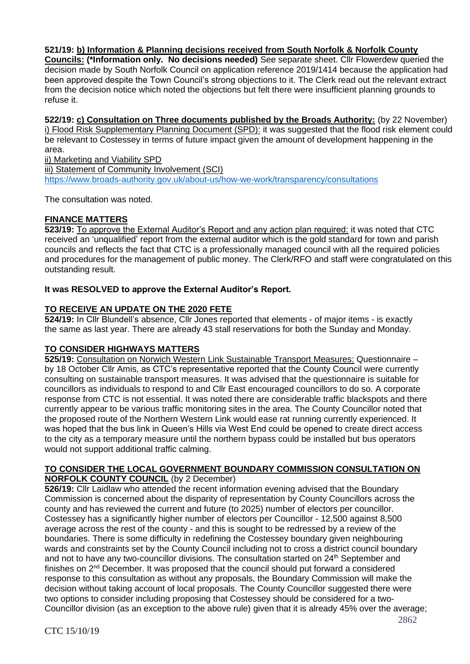# **521/19: b) Information & Planning decisions received from South Norfolk & Norfolk County**

**Councils: (\*Information only. No decisions needed)** See separate sheet. Cllr Flowerdew queried the decision made by South Norfolk Council on application reference 2019/1414 because the application had been approved despite the Town Council's strong objections to it. The Clerk read out the relevant extract from the decision notice which noted the objections but felt there were insufficient planning grounds to refuse it.

**522/19: c) Consultation on Three documents published by the Broads Authority:** (by 22 November) i) Flood Risk Supplementary Planning Document (SPD): it was suggested that the flood risk element could be relevant to Costessey in terms of future impact given the amount of development happening in the area.

ii) Marketing and Viability SPD iii) Statement of Community Involvement (SCI) <https://www.broads-authority.gov.uk/about-us/how-we-work/transparency/consultations>

The consultation was noted.

# **FINANCE MATTERS**

**523/19:** To approve the External Auditor's Report and any action plan required: it was noted that CTC received an 'unqualified' report from the external auditor which is the gold standard for town and parish councils and reflects the fact that CTC is a professionally managed council with all the required policies and procedures for the management of public money. The Clerk/RFO and staff were congratulated on this outstanding result.

# **It was RESOLVED to approve the External Auditor's Report.**

# **TO RECEIVE AN UPDATE ON THE 2020 FETE**

**524/19:** In Cllr Blundell's absence, Cllr Jones reported that elements - of major items - is exactly the same as last year. There are already 43 stall reservations for both the Sunday and Monday.

# **TO CONSIDER HIGHWAYS MATTERS**

**525/19:** Consultation on Norwich Western Link Sustainable Transport Measures: Questionnaire – by 18 October Cllr Amis, as CTC's representative reported that the County Council were currently consulting on sustainable transport measures. It was advised that the questionnaire is suitable for councillors as individuals to respond to and Cllr East encouraged councillors to do so. A corporate response from CTC is not essential. It was noted there are considerable traffic blackspots and there currently appear to be various traffic monitoring sites in the area. The County Councillor noted that the proposed route of the Northern Western Link would ease rat running currently experienced. It was hoped that the bus link in Queen's Hills via West End could be opened to create direct access to the city as a temporary measure until the northern bypass could be installed but bus operators would not support additional traffic calming.

# **TO CONSIDER THE LOCAL GOVERNMENT BOUNDARY COMMISSION CONSULTATION ON**

**NORFOLK COUNTY COUNCIL** (by 2 December)

**526/19:** Cllr Laidlaw who attended the recent information evening advised that the Boundary Commission is concerned about the disparity of representation by County Councillors across the county and has reviewed the current and future (to 2025) number of electors per councillor. Costessey has a significantly higher number of electors per Councillor - 12,500 against 8,500 average across the rest of the county - and this is sought to be redressed by a review of the boundaries. There is some difficulty in redefining the Costessey boundary given neighbouring wards and constraints set by the County Council including not to cross a district council boundary and not to have any two-councillor divisions. The consultation started on 24<sup>th</sup> September and finishes on 2nd December. It was proposed that the council should put forward a considered response to this consultation as without any proposals, the Boundary Commission will make the decision without taking account of local proposals. The County Councillor suggested there were two options to consider including proposing that Costessey should be considered for a two-Councillor division (as an exception to the above rule) given that it is already 45% over the average;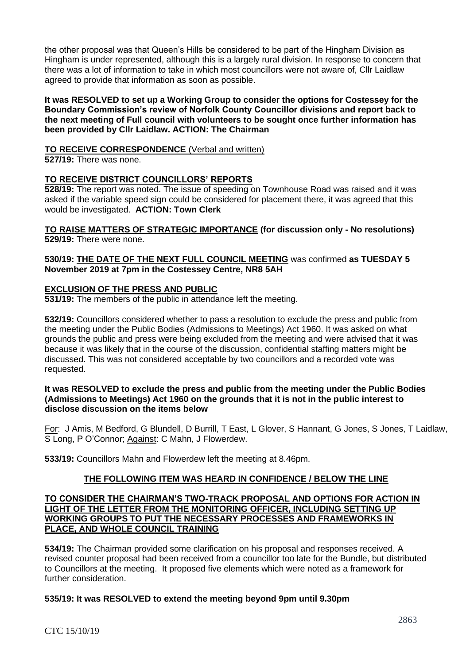the other proposal was that Queen's Hills be considered to be part of the Hingham Division as Hingham is under represented, although this is a largely rural division. In response to concern that there was a lot of information to take in which most councillors were not aware of, Cllr Laidlaw agreed to provide that information as soon as possible.

**It was RESOLVED to set up a Working Group to consider the options for Costessey for the Boundary Commission's review of Norfolk County Councillor divisions and report back to the next meeting of Full council with volunteers to be sought once further information has been provided by Cllr Laidlaw. ACTION: The Chairman**

# **TO RECEIVE CORRESPONDENCE** (Verbal and written)

**527/19:** There was none.

# **TO RECEIVE DISTRICT COUNCILLORS' REPORTS**

**528/19:** The report was noted. The issue of speeding on Townhouse Road was raised and it was asked if the variable speed sign could be considered for placement there, it was agreed that this would be investigated. **ACTION: Town Clerk**

**TO RAISE MATTERS OF STRATEGIC IMPORTANCE (for discussion only - No resolutions) 529/19:** There were none.

## **530/19: THE DATE OF THE NEXT FULL COUNCIL MEETING** was confirmed **as TUESDAY 5 November 2019 at 7pm in the Costessey Centre, NR8 5AH**

# **EXCLUSION OF THE PRESS AND PUBLIC**

**531/19:** The members of the public in attendance left the meeting.

**532/19:** Councillors considered whether to pass a resolution to exclude the press and public from the meeting under the Public Bodies (Admissions to Meetings) Act 1960. It was asked on what grounds the public and press were being excluded from the meeting and were advised that it was because it was likely that in the course of the discussion, confidential staffing matters might be discussed. This was not considered acceptable by two councillors and a recorded vote was requested.

## **It was RESOLVED to exclude the press and public from the meeting under the Public Bodies (Admissions to Meetings) Act 1960 on the grounds that it is not in the public interest to disclose discussion on the items below**

For: J Amis, M Bedford, G Blundell, D Burrill, T East, L Glover, S Hannant, G Jones, S Jones, T Laidlaw, S Long, P O'Connor; Against: C Mahn, J Flowerdew.

**533/19:** Councillors Mahn and Flowerdew left the meeting at 8.46pm.

## **THE FOLLOWING ITEM WAS HEARD IN CONFIDENCE / BELOW THE LINE**

#### **TO CONSIDER THE CHAIRMAN'S TWO-TRACK PROPOSAL AND OPTIONS FOR ACTION IN LIGHT OF THE LETTER FROM THE MONITORING OFFICER, INCLUDING SETTING UP WORKING GROUPS TO PUT THE NECESSARY PROCESSES AND FRAMEWORKS IN PLACE, AND WHOLE COUNCIL TRAINING**

**534/19:** The Chairman provided some clarification on his proposal and responses received. A revised counter proposal had been received from a councillor too late for the Bundle, but distributed to Councillors at the meeting. It proposed five elements which were noted as a framework for further consideration.

## **535/19: It was RESOLVED to extend the meeting beyond 9pm until 9.30pm**